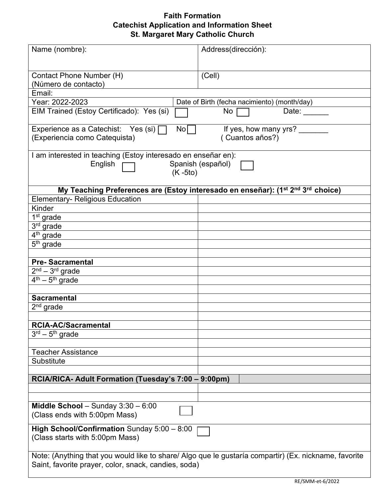## **Faith Formation Catechist Application and Information Sheet St. Margaret Mary Catholic Church**

| Name (nombre):                                                                                          | Address(dirección):   |
|---------------------------------------------------------------------------------------------------------|-----------------------|
|                                                                                                         |                       |
| Contact Phone Number (H)                                                                                | (Cell)                |
| (Número de contacto)                                                                                    |                       |
| Email:                                                                                                  |                       |
| Date of Birth (fecha nacimiento) (month/day)<br>Year: 2022-2023                                         |                       |
| EIM Trained (Estoy Certificado): Yes (si)<br>No<br>Date: $\_\_$                                         |                       |
| Experience as a Catechist: Yes (si) $\Box$<br>No                                                        | If yes, how many yrs? |
| (Experiencia como Catequista)                                                                           | (Cuantos años?)       |
| I am interested in teaching (Estoy interesado en enseñar en):                                           |                       |
| Spanish (español)<br>English                                                                            |                       |
| $(K - 5t)$                                                                                              |                       |
|                                                                                                         |                       |
| My Teaching Preferences are (Estoy interesado en enseñar): (1 <sup>st 2nd</sup> 3 <sup>rd</sup> choice) |                       |
| <b>Elementary- Religious Education</b>                                                                  |                       |
| Kinder                                                                                                  |                       |
| 1 <sup>st</sup> grade                                                                                   |                       |
| 3 <sup>rd</sup> grade                                                                                   |                       |
| 4 <sup>th</sup> grade                                                                                   |                       |
| $5th$ grade                                                                                             |                       |
|                                                                                                         |                       |
| <b>Pre-Sacramental</b>                                                                                  |                       |
| $2nd - 3rd$ grade                                                                                       |                       |
| $4th - 5th$ grade                                                                                       |                       |
|                                                                                                         |                       |
| <b>Sacramental</b>                                                                                      |                       |
| $2nd$ grade                                                                                             |                       |
|                                                                                                         |                       |
| <b>RCIA-AC/Sacramental</b>                                                                              |                       |
| $3rd - 5th$ grade                                                                                       |                       |
|                                                                                                         |                       |
| <b>Teacher Assistance</b>                                                                               |                       |
| Substitute                                                                                              |                       |
|                                                                                                         |                       |
| RCIA/RICA- Adult Formation (Tuesday's 7:00 - 9:00pm)                                                    |                       |
|                                                                                                         |                       |
|                                                                                                         |                       |
| Middle School - Sunday $3:30 - 6:00$                                                                    |                       |
| (Class ends with 5:00pm Mass)                                                                           |                       |
|                                                                                                         |                       |
| <b>High School/Confirmation</b> Sunday $5:00 - 8:00$                                                    |                       |
| (Class starts with 5:00pm Mass)                                                                         |                       |
|                                                                                                         |                       |
| Note: (Anything that you would like to share/ Algo que le gustaría compartir) (Ex. nickname, favorite   |                       |
| Saint, favorite prayer, color, snack, candies, soda)                                                    |                       |